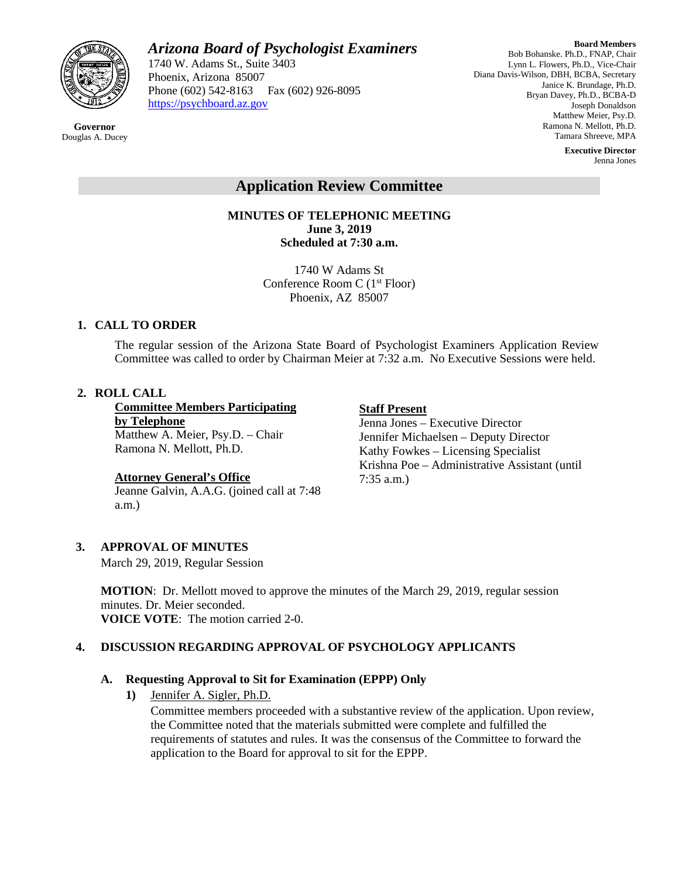

*Arizona Board of Psychologist Examiners*

1740 W. Adams St., Suite 3403 Phoenix, Arizona 85007 Phone (602) 542-8163 Fax (602) 926-8095 [https://psychboard.az.gov](https://psychboard.az.gov/) 

**Board Members** Bob Bohanske. Ph.D., FNAP, Chair Lynn L. Flowers, Ph.D., Vice-Chair Diana Davis-Wilson, DBH, BCBA, Secretary Janice K. Brundage, Ph.D. Bryan Davey, Ph.D., BCBA-D Joseph Donaldson Matthew Meier, Psy.D. Ramona N. Mellott, Ph.D. Tamara Shreeve, MPA

> **Executive Director** Jenna Jones

# **Application Review Committee**

**MINUTES OF TELEPHONIC MEETING June 3, 2019 Scheduled at 7:30 a.m.**

> 1740 W Adams St Conference Room C (1st Floor) Phoenix, AZ 85007

### **1. CALL TO ORDER**

The regular session of the Arizona State Board of Psychologist Examiners Application Review Committee was called to order by Chairman Meier at 7:32 a.m. No Executive Sessions were held.

### **2. ROLL CALL**

**Committee Members Participating by Telephone** Matthew A. Meier, Psy.D. – Chair

Ramona N. Mellott, Ph.D.

### **Attorney General's Office**

Jeanne Galvin, A.A.G. (joined call at 7:48 a.m.)

## **Staff Present**

Jenna Jones – Executive Director Jennifer Michaelsen – Deputy Director Kathy Fowkes – Licensing Specialist Krishna Poe – Administrative Assistant (until 7:35 a.m.)

### **3. APPROVAL OF MINUTES**

March 29, 2019, Regular Session

**MOTION**: Dr. Mellott moved to approve the minutes of the March 29, 2019, regular session minutes. Dr. Meier seconded. **VOICE VOTE**: The motion carried 2-0.

### **4. DISCUSSION REGARDING APPROVAL OF PSYCHOLOGY APPLICANTS**

### **A. Requesting Approval to Sit for Examination (EPPP) Only**

**1)** Jennifer A. Sigler, Ph.D.

Committee members proceeded with a substantive review of the application. Upon review, the Committee noted that the materials submitted were complete and fulfilled the requirements of statutes and rules. It was the consensus of the Committee to forward the application to the Board for approval to sit for the EPPP.

#### **Governor** Douglas A. Ducey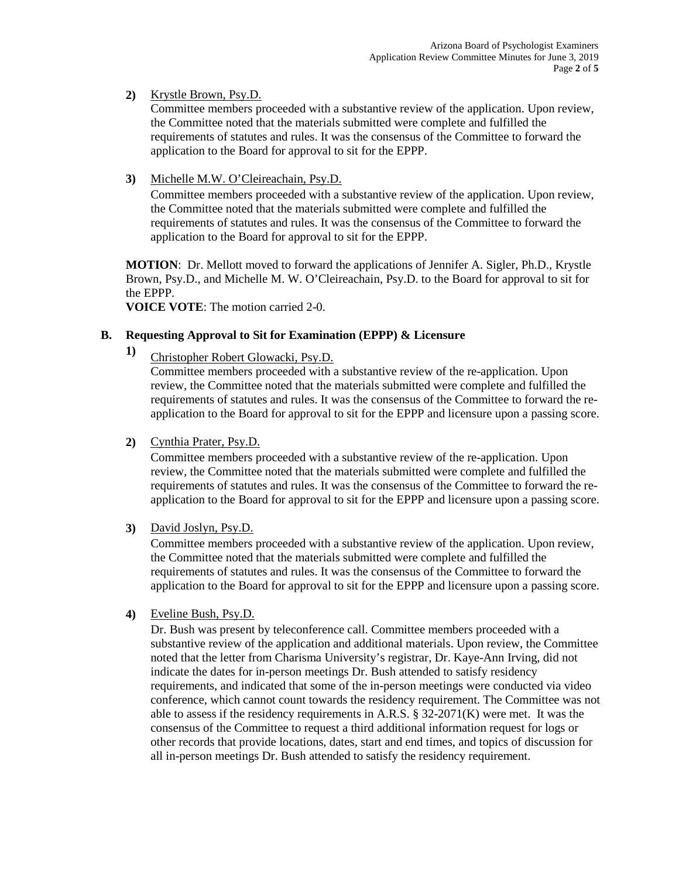### **2)** Krystle Brown, Psy.D.

Committee members proceeded with a substantive review of the application. Upon review, the Committee noted that the materials submitted were complete and fulfilled the requirements of statutes and rules. It was the consensus of the Committee to forward the application to the Board for approval to sit for the EPPP.

#### **3)** Michelle M.W. O'Cleireachain, Psy.D.

Committee members proceeded with a substantive review of the application. Upon review, the Committee noted that the materials submitted were complete and fulfilled the requirements of statutes and rules. It was the consensus of the Committee to forward the application to the Board for approval to sit for the EPPP.

**MOTION**: Dr. Mellott moved to forward the applications of Jennifer A. Sigler, Ph.D., Krystle Brown, Psy.D., and Michelle M. W. O'Cleireachain, Psy.D. to the Board for approval to sit for the EPPP.

**VOICE VOTE**: The motion carried 2-0.

### **B. Requesting Approval to Sit for Examination (EPPP) & Licensure**

**1)** Christopher Robert Glowacki, Psy.D.

Committee members proceeded with a substantive review of the re-application. Upon review, the Committee noted that the materials submitted were complete and fulfilled the requirements of statutes and rules. It was the consensus of the Committee to forward the reapplication to the Board for approval to sit for the EPPP and licensure upon a passing score.

### **2)** Cynthia Prater, Psy.D.

Committee members proceeded with a substantive review of the re-application. Upon review, the Committee noted that the materials submitted were complete and fulfilled the requirements of statutes and rules. It was the consensus of the Committee to forward the reapplication to the Board for approval to sit for the EPPP and licensure upon a passing score.

#### **3)** David Joslyn, Psy.D.

Committee members proceeded with a substantive review of the application. Upon review, the Committee noted that the materials submitted were complete and fulfilled the requirements of statutes and rules. It was the consensus of the Committee to forward the application to the Board for approval to sit for the EPPP and licensure upon a passing score.

#### **4)** Eveline Bush, Psy.D.

Dr. Bush was present by teleconference call. Committee members proceeded with a substantive review of the application and additional materials. Upon review, the Committee noted that the letter from Charisma University's registrar, Dr. Kaye-Ann Irving, did not indicate the dates for in-person meetings Dr. Bush attended to satisfy residency requirements, and indicated that some of the in-person meetings were conducted via video conference, which cannot count towards the residency requirement. The Committee was not able to assess if the residency requirements in A.R.S. § 32-2071(K) were met. It was the consensus of the Committee to request a third additional information request for logs or other records that provide locations, dates, start and end times, and topics of discussion for all in-person meetings Dr. Bush attended to satisfy the residency requirement.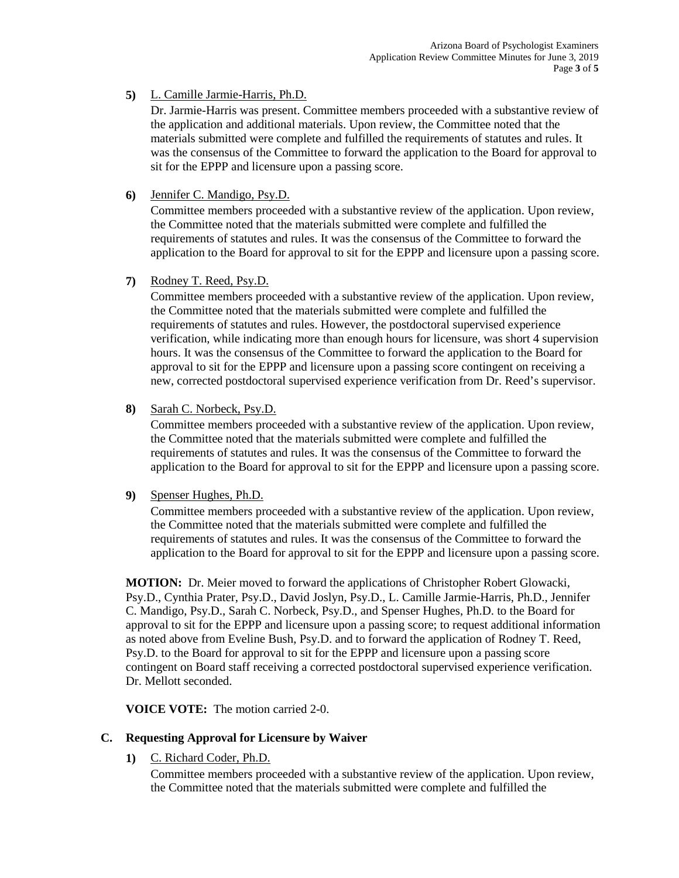### **5)** L. Camille Jarmie-Harris, Ph.D.

Dr. Jarmie-Harris was present. Committee members proceeded with a substantive review of the application and additional materials. Upon review, the Committee noted that the materials submitted were complete and fulfilled the requirements of statutes and rules. It was the consensus of the Committee to forward the application to the Board for approval to sit for the EPPP and licensure upon a passing score.

### **6)** Jennifer C. Mandigo, Psy.D.

Committee members proceeded with a substantive review of the application. Upon review, the Committee noted that the materials submitted were complete and fulfilled the requirements of statutes and rules. It was the consensus of the Committee to forward the application to the Board for approval to sit for the EPPP and licensure upon a passing score.

#### **7)** Rodney T. Reed, Psy.D.

Committee members proceeded with a substantive review of the application. Upon review, the Committee noted that the materials submitted were complete and fulfilled the requirements of statutes and rules. However, the postdoctoral supervised experience verification, while indicating more than enough hours for licensure, was short 4 supervision hours. It was the consensus of the Committee to forward the application to the Board for approval to sit for the EPPP and licensure upon a passing score contingent on receiving a new, corrected postdoctoral supervised experience verification from Dr. Reed's supervisor.

### **8)** Sarah C. Norbeck, Psy.D.

Committee members proceeded with a substantive review of the application. Upon review, the Committee noted that the materials submitted were complete and fulfilled the requirements of statutes and rules. It was the consensus of the Committee to forward the application to the Board for approval to sit for the EPPP and licensure upon a passing score.

#### **9)** Spenser Hughes, Ph.D.

Committee members proceeded with a substantive review of the application. Upon review, the Committee noted that the materials submitted were complete and fulfilled the requirements of statutes and rules. It was the consensus of the Committee to forward the application to the Board for approval to sit for the EPPP and licensure upon a passing score.

**MOTION:** Dr. Meier moved to forward the applications of Christopher Robert Glowacki, Psy.D., Cynthia Prater, Psy.D., David Joslyn, Psy.D., L. Camille Jarmie-Harris, Ph.D., Jennifer C. Mandigo, Psy.D., Sarah C. Norbeck, Psy.D., and Spenser Hughes, Ph.D. to the Board for approval to sit for the EPPP and licensure upon a passing score; to request additional information as noted above from Eveline Bush, Psy.D. and to forward the application of Rodney T. Reed, Psy.D. to the Board for approval to sit for the EPPP and licensure upon a passing score contingent on Board staff receiving a corrected postdoctoral supervised experience verification. Dr. Mellott seconded.

**VOICE VOTE:** The motion carried 2-0.

### **C. Requesting Approval for Licensure by Waiver**

**1)** C. Richard Coder, Ph.D.

Committee members proceeded with a substantive review of the application. Upon review, the Committee noted that the materials submitted were complete and fulfilled the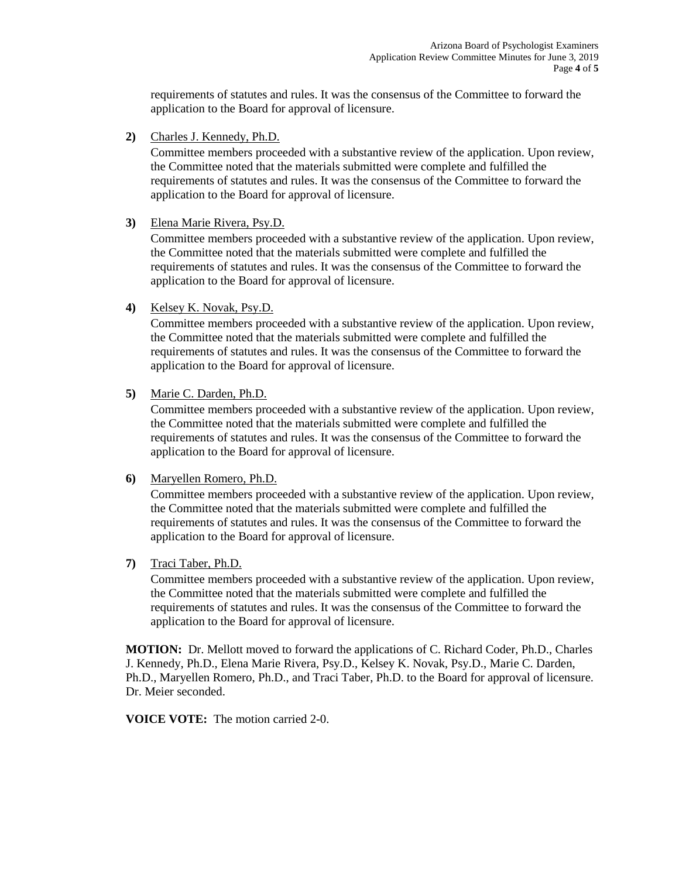requirements of statutes and rules. It was the consensus of the Committee to forward the application to the Board for approval of licensure.

**2)** Charles J. Kennedy, Ph.D.

Committee members proceeded with a substantive review of the application. Upon review, the Committee noted that the materials submitted were complete and fulfilled the requirements of statutes and rules. It was the consensus of the Committee to forward the application to the Board for approval of licensure.

**3)** Elena Marie Rivera, Psy.D.

Committee members proceeded with a substantive review of the application. Upon review, the Committee noted that the materials submitted were complete and fulfilled the requirements of statutes and rules. It was the consensus of the Committee to forward the application to the Board for approval of licensure.

**4)** Kelsey K. Novak, Psy.D.

Committee members proceeded with a substantive review of the application. Upon review, the Committee noted that the materials submitted were complete and fulfilled the requirements of statutes and rules. It was the consensus of the Committee to forward the application to the Board for approval of licensure.

**5)** Marie C. Darden, Ph.D.

Committee members proceeded with a substantive review of the application. Upon review, the Committee noted that the materials submitted were complete and fulfilled the requirements of statutes and rules. It was the consensus of the Committee to forward the application to the Board for approval of licensure.

**6)** Maryellen Romero, Ph.D.

Committee members proceeded with a substantive review of the application. Upon review, the Committee noted that the materials submitted were complete and fulfilled the requirements of statutes and rules. It was the consensus of the Committee to forward the application to the Board for approval of licensure.

**7)** Traci Taber, Ph.D.

Committee members proceeded with a substantive review of the application. Upon review, the Committee noted that the materials submitted were complete and fulfilled the requirements of statutes and rules. It was the consensus of the Committee to forward the application to the Board for approval of licensure.

**MOTION:** Dr. Mellott moved to forward the applications of C. Richard Coder, Ph.D., Charles J. Kennedy, Ph.D., Elena Marie Rivera, Psy.D., Kelsey K. Novak, Psy.D., Marie C. Darden, Ph.D., Maryellen Romero, Ph.D., and Traci Taber, Ph.D. to the Board for approval of licensure. Dr. Meier seconded.

**VOICE VOTE:** The motion carried 2-0.